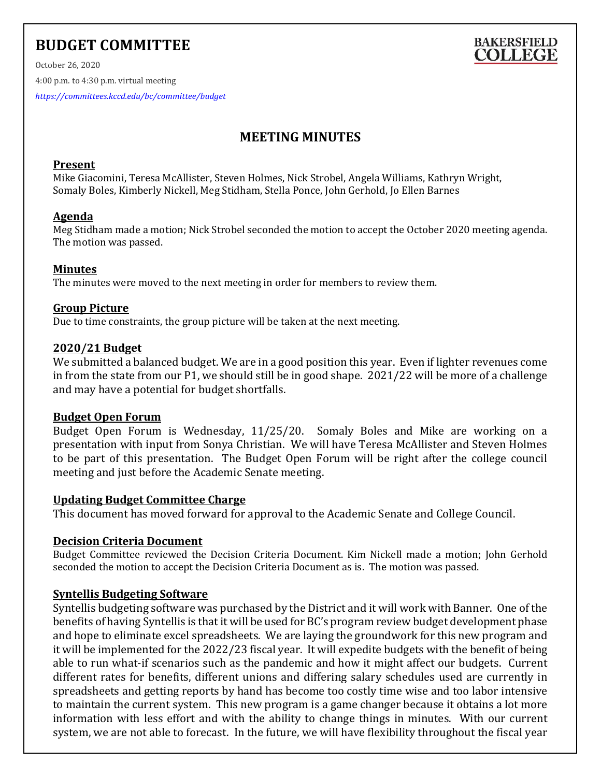# **BUDGET COMMITTEE**



October 26, 2020 4:00 p.m. to 4:30 p.m. virtual meeting *<https://committees.kccd.edu/bc/committee/budget>*

# **MEETING MINUTES**

# **Present**

Mike Giacomini, Teresa McAllister, Steven Holmes, Nick Strobel, Angela Williams, Kathryn Wright, Somaly Boles, Kimberly Nickell, Meg Stidham, Stella Ponce, John Gerhold, Jo Ellen Barnes

# **Agenda**

Meg Stidham made a motion; Nick Strobel seconded the motion to accept the October 2020 meeting agenda. The motion was passed.

# **Minutes**

The minutes were moved to the next meeting in order for members to review them.

#### **Group Picture**

Due to time constraints, the group picture will be taken at the next meeting.

# **2020/21 Budget**

We submitted a balanced budget. We are in a good position this year. Even if lighter revenues come in from the state from our P1, we should still be in good shape. 2021/22 will be more of a challenge and may have a potential for budget shortfalls.

#### **Budget Open Forum**

Budget Open Forum is Wednesday, 11/25/20. Somaly Boles and Mike are working on a presentation with input from Sonya Christian. We will have Teresa McAllister and Steven Holmes to be part of this presentation. The Budget Open Forum will be right after the college council meeting and just before the Academic Senate meeting.

#### **Updating Budget Committee Charge**

This document has moved forward for approval to the Academic Senate and College Council.

# **Decision Criteria Document**

Budget Committee reviewed the Decision Criteria Document. Kim Nickell made a motion; John Gerhold seconded the motion to accept the Decision Criteria Document as is. The motion was passed.

# **Syntellis Budgeting Software**

Syntellis budgeting software was purchased by the District and it will work with Banner. One of the benefits of having Syntellis is that it will be used for BC's program review budget development phase and hope to eliminate excel spreadsheets. We are laying the groundwork for this new program and it will be implemented for the 2022/23 fiscal year. It will expedite budgets with the benefit of being able to run what-if scenarios such as the pandemic and how it might affect our budgets. Current different rates for benefits, different unions and differing salary schedules used are currently in spreadsheets and getting reports by hand has become too costly time wise and too labor intensive to maintain the current system. This new program is a game changer because it obtains a lot more information with less effort and with the ability to change things in minutes. With our current system, we are not able to forecast. In the future, we will have flexibility throughout the fiscal year